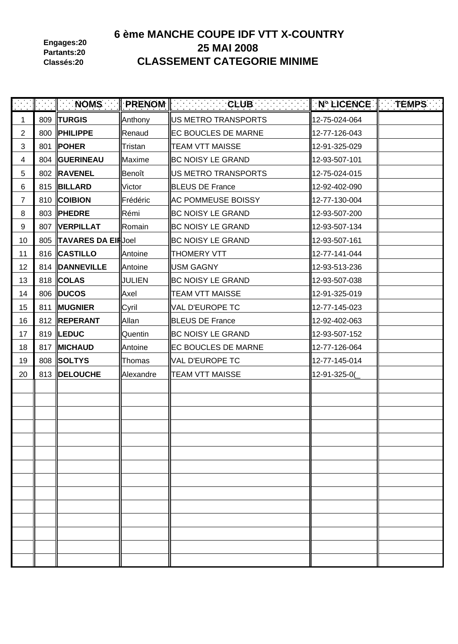**Engages:20 Partants:20 Classés:20**

# **6 ème MANCHE COUPE IDF VTT X-COUNTRY 25 MAI 2008 CLASSEMENT CATEGORIE MINIME**

| $\mathcal{L}(\mathcal{A})$ | $\parallel$ $\parallel$ NOMS | PRENOM        | <b>Example 2</b> CLUB      | $\parallel$ N° LICENCE $\parallel$ TEMPS $\parallel$ |  |
|----------------------------|------------------------------|---------------|----------------------------|------------------------------------------------------|--|
| 1                          | 809   TURGIS                 | Anthony       | US METRO TRANSPORTS        | 12-75-024-064                                        |  |
| $\overline{2}$             | 800   PHILIPPE               | Renaud        | <b>EC BOUCLES DE MARNE</b> | 12-77-126-043                                        |  |
| 3                          | 801   POHER                  | Tristan       | <b>TEAM VTT MAISSE</b>     | 12-91-325-029                                        |  |
| 4                          | 804  GUERINEAU               | Maxime        | <b>BC NOISY LE GRAND</b>   | 12-93-507-101                                        |  |
| 5                          | 802  RAVENEL                 | Benoît        | US METRO TRANSPORTS        | 12-75-024-015                                        |  |
| 6                          | 815  BILLARD                 | Victor        | <b>BLEUS DE France</b>     | 12-92-402-090                                        |  |
| $\overline{7}$             | 810 COIBION                  | Frédéric      | <b>AC POMMEUSE BOISSY</b>  | 12-77-130-004                                        |  |
| 8                          | 803  PHEDRE                  | Rémi          | <b>BC NOISY LE GRAND</b>   | 12-93-507-200                                        |  |
| 9                          | 807  VERPILLAT               | Romain        | <b>BC NOISY LE GRAND</b>   | 12-93-507-134                                        |  |
| 10                         | 805 TAVARES DA EIRJoel       |               | <b>BC NOISY LE GRAND</b>   | 12-93-507-161                                        |  |
| 11                         | 816 CASTILLO                 | Antoine       | <b>THOMERY VTT</b>         | 12-77-141-044                                        |  |
| 12                         | 814  DANNEVILLE              | Antoine       | <b>USM GAGNY</b>           | 12-93-513-236                                        |  |
| 13                         | 818 COLAS                    | <b>JULIEN</b> | <b>BC NOISY LE GRAND</b>   | 12-93-507-038                                        |  |
| 14                         | 806   DUCOS                  | Axel          | <b>TEAM VTT MAISSE</b>     | 12-91-325-019                                        |  |
| 15                         | 811  MUGNIER                 | Cyril         | <b>VAL D'EUROPE TC</b>     | 12-77-145-023                                        |  |
| 16                         | 812 REPERANT                 | Allan         | <b>BLEUS DE France</b>     | 12-92-402-063                                        |  |
| 17                         | 819   LEDUC                  | Quentin       | <b>BC NOISY LE GRAND</b>   | 12-93-507-152                                        |  |
| 18                         | 817 MICHAUD                  | Antoine       | <b>EC BOUCLES DE MARNE</b> | 12-77-126-064                                        |  |
| 19                         | 808 SOLTYS                   | Thomas        | <b>VAL D'EUROPE TC</b>     | 12-77-145-014                                        |  |
| 20                         | 813  DELOUCHE                | Alexandre     | <b>TEAM VTT MAISSE</b>     | 12-91-325-0(                                         |  |
|                            |                              |               |                            |                                                      |  |
|                            |                              |               |                            |                                                      |  |
|                            |                              |               |                            |                                                      |  |
|                            |                              |               |                            |                                                      |  |
|                            |                              |               |                            |                                                      |  |
|                            |                              |               |                            |                                                      |  |
|                            |                              |               |                            |                                                      |  |
|                            |                              |               |                            |                                                      |  |
|                            |                              |               |                            |                                                      |  |
|                            |                              |               |                            |                                                      |  |
|                            |                              |               |                            |                                                      |  |
|                            |                              |               |                            |                                                      |  |
|                            |                              |               |                            |                                                      |  |
|                            |                              |               |                            |                                                      |  |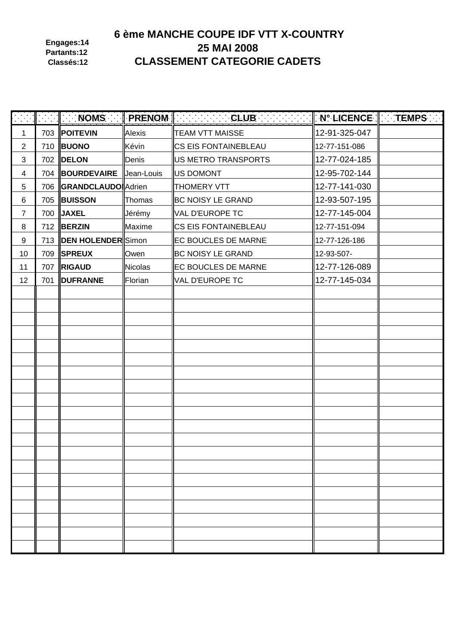**Engages:14 Partants:12 Classés:12**

# **6 ème MANCHE COUPE IDF VTT X-COUNTRY 25 MAI 2008 CLASSEMENT CATEGORIE CADETS**

|                |                              |         | <b>Noms Renoming Club</b> Club Renoming the Renormal Renormal Club Renormal Renormal Club Renormal Renormal Renormal Renormal Renormal Renormal Renormal Renormal Renormal Renormal Renormal Renormal Renormal Renormal Renormal Re | $\parallel$ N° LICENCE $\parallel$ TEMPS . |  |
|----------------|------------------------------|---------|-------------------------------------------------------------------------------------------------------------------------------------------------------------------------------------------------------------------------------------|--------------------------------------------|--|
| 1              | 703 POITEVIN                 | Alexis  | <b>TEAM VTT MAISSE</b>                                                                                                                                                                                                              | 12-91-325-047                              |  |
| 2              | 710 <b>BUONO</b>             | Kévin   | <b>CS EIS FONTAINEBLEAU</b>                                                                                                                                                                                                         | 12-77-151-086                              |  |
| $\mathbf{3}$   | 702 <b>DELON</b>             | Denis   | US METRO TRANSPORTS                                                                                                                                                                                                                 | 12-77-024-185                              |  |
| 4              | 704  BOURDEVAIRE  Jean-Louis |         | <b>US DOMONT</b>                                                                                                                                                                                                                    | 12-95-702-144                              |  |
| 5              | 706 GRANDCLAUDO Adrien       |         | <b>THOMERY VTT</b>                                                                                                                                                                                                                  | 12-77-141-030                              |  |
| 6              | 705 BUISSON                  | Thomas  | <b>BC NOISY LE GRAND</b>                                                                                                                                                                                                            | 12-93-507-195                              |  |
| $\overline{7}$ | 700 JAXEL                    | Jérémy  | VAL D'EUROPE TC                                                                                                                                                                                                                     | 12-77-145-004                              |  |
| 8              | 712 <b>BERZIN</b>            | Maxime  | <b>CS EIS FONTAINEBLEAU</b>                                                                                                                                                                                                         | 12-77-151-094                              |  |
| 9              | 713  DEN HOLENDER Simon      |         | <b>EC BOUCLES DE MARNE</b>                                                                                                                                                                                                          | 12-77-126-186                              |  |
| 10             | 709 SPREUX                   | Owen    | <b>BC NOISY LE GRAND</b>                                                                                                                                                                                                            | 12-93-507-                                 |  |
| 11             | 707 RIGAUD                   | Nicolas | <b>EC BOUCLES DE MARNE</b>                                                                                                                                                                                                          | 12-77-126-089                              |  |
| 12             | 701   DUFRANNE               | Florian | VAL D'EUROPE TC                                                                                                                                                                                                                     | 12-77-145-034                              |  |
|                |                              |         |                                                                                                                                                                                                                                     |                                            |  |
|                |                              |         |                                                                                                                                                                                                                                     |                                            |  |
|                |                              |         |                                                                                                                                                                                                                                     |                                            |  |
|                |                              |         |                                                                                                                                                                                                                                     |                                            |  |
|                |                              |         |                                                                                                                                                                                                                                     |                                            |  |
|                |                              |         |                                                                                                                                                                                                                                     |                                            |  |
|                |                              |         |                                                                                                                                                                                                                                     |                                            |  |
|                |                              |         |                                                                                                                                                                                                                                     |                                            |  |
|                |                              |         |                                                                                                                                                                                                                                     |                                            |  |
|                |                              |         |                                                                                                                                                                                                                                     |                                            |  |
|                |                              |         |                                                                                                                                                                                                                                     |                                            |  |
|                |                              |         |                                                                                                                                                                                                                                     |                                            |  |
|                |                              |         |                                                                                                                                                                                                                                     |                                            |  |
|                |                              |         |                                                                                                                                                                                                                                     |                                            |  |
|                |                              |         |                                                                                                                                                                                                                                     |                                            |  |
|                |                              |         |                                                                                                                                                                                                                                     |                                            |  |
|                |                              |         |                                                                                                                                                                                                                                     |                                            |  |
|                |                              |         |                                                                                                                                                                                                                                     |                                            |  |
|                |                              |         |                                                                                                                                                                                                                                     |                                            |  |
|                |                              |         |                                                                                                                                                                                                                                     |                                            |  |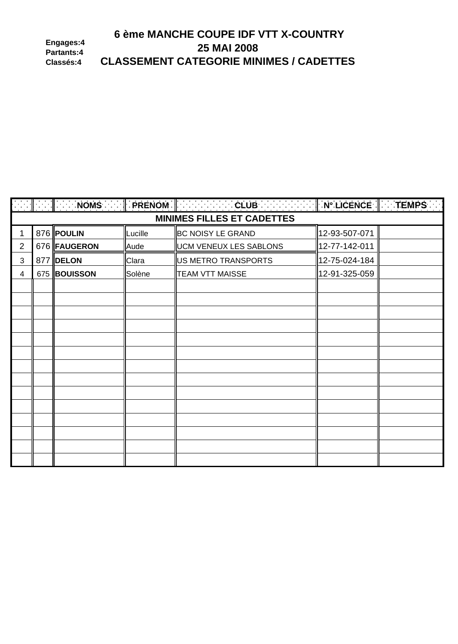#### 6 ème MANCHE COUPE IDF VTT X-COUNTRY Engages:4 25 MAI 2008 Partants:4 **CLASSEMENT CATEGORIE MINIMES / CADETTES** Classés:4

|                |              |         | $\ \cdot\ =\ \cdot\ $ . Noms $\ \cdot\ $ prenom $\ \cdot\ =\dots=\texttt{CLUB}$ . The set $\ \cdot\ $ in licence $\ \cdot\ $ temps $\ \cdot\ $ |               |  |
|----------------|--------------|---------|------------------------------------------------------------------------------------------------------------------------------------------------|---------------|--|
|                |              |         | <b>MINIMES FILLES ET CADETTES</b>                                                                                                              |               |  |
| 1              | 876 POULIN   | Lucille | <b>BC NOISY LE GRAND</b>                                                                                                                       | 12-93-507-071 |  |
| $\overline{2}$ | 676 FAUGERON | Aude    | <b>UCM VENEUX LES SABLONS</b>                                                                                                                  | 12-77-142-011 |  |
| 3              | 877 DELON    | Clara   | US METRO TRANSPORTS                                                                                                                            | 12-75-024-184 |  |
| 4              | 675 BOUISSON | Solène  | <b>TEAM VTT MAISSE</b>                                                                                                                         | 12-91-325-059 |  |
|                |              |         |                                                                                                                                                |               |  |
|                |              |         |                                                                                                                                                |               |  |
|                |              |         |                                                                                                                                                |               |  |
|                |              |         |                                                                                                                                                |               |  |
|                |              |         |                                                                                                                                                |               |  |
|                |              |         |                                                                                                                                                |               |  |
|                |              |         |                                                                                                                                                |               |  |
|                |              |         |                                                                                                                                                |               |  |
|                |              |         |                                                                                                                                                |               |  |
|                |              |         |                                                                                                                                                |               |  |
|                |              |         |                                                                                                                                                |               |  |
|                |              |         |                                                                                                                                                |               |  |
|                |              |         |                                                                                                                                                |               |  |
|                |              |         |                                                                                                                                                |               |  |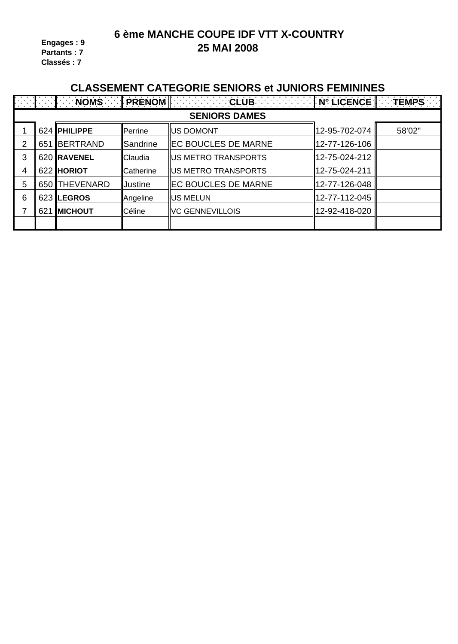**6 ème MANCHE COUPE IDF VTT X-COUNTRY 25 MAI 2008**

**Engages : 9 Partants : 7 Classés : 7**

#### **CLASSEMENT CATEGORIE SENIORS et JUNIORS FEMININES**

|   |                      |                  |                | A ANGLINI ANG MINISTER ANG MANGALA ANG MANGELO ANG MANGELO ANG MANGELO ANG MANGELO ANG MANGELO ANG MANGELO ANG |               |        |  |  |  |
|---|----------------------|------------------|----------------|----------------------------------------------------------------------------------------------------------------|---------------|--------|--|--|--|
|   | <b>SENIORS DAMES</b> |                  |                |                                                                                                                |               |        |  |  |  |
|   |                      | $624$ PHILIPPE   | Perrine        | <b>IIUS DOMONT</b>                                                                                             | 12-95-702-074 | 58'02" |  |  |  |
| 2 | 651                  | <b>IBERTRAND</b> | Sandrine       | <b>IEC BOUCLES DE MARNE</b>                                                                                    | 12-77-126-106 |        |  |  |  |
| 3 |                      | 620 RAVENEL      | Claudia        | <b>IUS METRO TRANSPORTS</b>                                                                                    | 12-75-024-212 |        |  |  |  |
| 4 |                      | 622 HORIOT       | Catherine      | <b>IUS METRO TRANSPORTS</b>                                                                                    | 12-75-024-211 |        |  |  |  |
| 5 |                      | 650 THEVENARD    | <b>Justine</b> | <b>IEC BOUCLES DE MARNE</b>                                                                                    | 12-77-126-048 |        |  |  |  |
| 6 |                      | 623 LEGROS       | Angeline       | <b>US MELUN</b>                                                                                                | 12-77-112-045 |        |  |  |  |
|   | 621                  | <b>IMICHOUT</b>  | Céline         | <b>IVC GENNEVILLOIS</b>                                                                                        | 12-92-418-020 |        |  |  |  |
|   |                      |                  |                |                                                                                                                |               |        |  |  |  |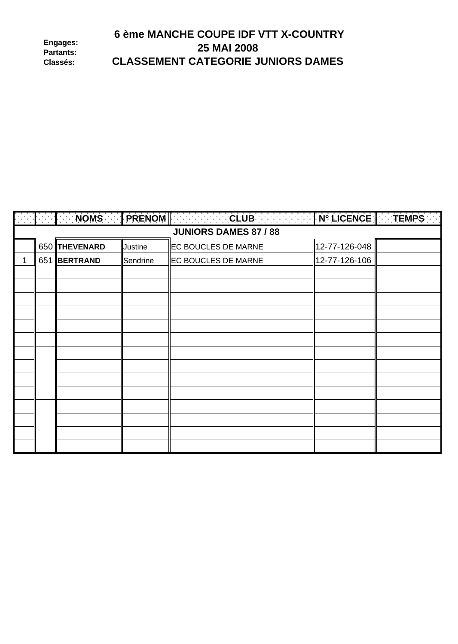|                              | 6 ème MANCHE COUPE IDF VTT X-COUNTRY      |
|------------------------------|-------------------------------------------|
| Engages:<br><b>Partants:</b> | <b>25 MAI 2008</b>                        |
| <b>Classés:</b>              | <b>CLASSEMENT CATEGORIE JUNIORS DAMES</b> |

|   |                              |               |                | $\ \cdot\ $ . $\ \cdot\ $ is noms to $\ $ prenom $\ \cdot\ $ . The club is the state $\ \cdot\ $ n° licence $\ \cdot\ $ temps to $\ $ |               |  |  |
|---|------------------------------|---------------|----------------|---------------------------------------------------------------------------------------------------------------------------------------|---------------|--|--|
|   | <b>JUNIORS DAMES 87 / 88</b> |               |                |                                                                                                                                       |               |  |  |
|   |                              | 650 THEVENARD | <b>Justine</b> | <b>EC BOUCLES DE MARNE</b>                                                                                                            | 12-77-126-048 |  |  |
| 1 |                              | 651 BERTRAND  | Sendrine       | <b>EC BOUCLES DE MARNE</b>                                                                                                            | 12-77-126-106 |  |  |
|   |                              |               |                |                                                                                                                                       |               |  |  |
|   |                              |               |                |                                                                                                                                       |               |  |  |
|   |                              |               |                |                                                                                                                                       |               |  |  |
|   |                              |               |                |                                                                                                                                       |               |  |  |
|   |                              |               |                |                                                                                                                                       |               |  |  |
|   |                              |               |                |                                                                                                                                       |               |  |  |
|   |                              |               |                |                                                                                                                                       |               |  |  |
|   |                              |               |                |                                                                                                                                       |               |  |  |
|   |                              |               |                |                                                                                                                                       |               |  |  |
|   |                              |               |                |                                                                                                                                       |               |  |  |
|   |                              |               |                |                                                                                                                                       |               |  |  |
|   |                              |               |                |                                                                                                                                       |               |  |  |
|   |                              |               |                |                                                                                                                                       |               |  |  |
|   |                              |               |                |                                                                                                                                       |               |  |  |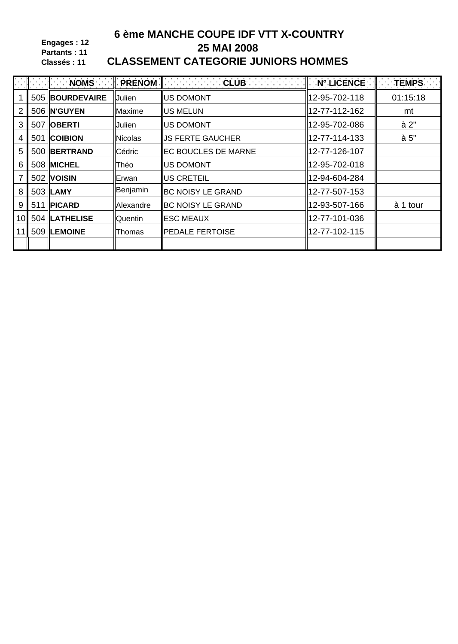Engages: 12 Partants: 11 Classés: 11

# 6 ème MANCHE COUPE IDF VTT X-COUNTRY 25 MAI 2008 **CLASSEMENT CATEGORIE JUNIORS HOMMES**

|                |                   |                | $\ \cdot\ $ : inoms for $\ \cdot\ $ prenom $\ \cdot\ $ . The club for $\ \cdot\ $ : | $\mathsf{N}^\circ$ LICENCE $\mathsf{I}$ TEMPS $\mathsf{I}$ |          |
|----------------|-------------------|----------------|-------------------------------------------------------------------------------------|------------------------------------------------------------|----------|
|                | 505 BOURDEVAIRE   | <b>Julien</b>  | <b>US DOMONT</b>                                                                    | 12-95-702-118                                              | 01:15:18 |
| $\overline{2}$ | 506 N'GUYEN       | Maxime         | <b>IUS MELUN</b>                                                                    | 12-77-112-162                                              | mt       |
| 3              | 507 <b>OBERTI</b> | Julien         | <b>IUS DOMONT</b>                                                                   | 12-95-702-086                                              | à 2"     |
| 4              | 501 COIBION       | <b>Nicolas</b> | <b>IJS FERTE GAUCHER</b>                                                            | 12-77-114-133                                              | à 5"     |
| 5              | 500 BERTRAND      | Cédric         | <b>EC BOUCLES DE MARNE</b>                                                          | 12-77-126-107                                              |          |
| 6              | 508 MICHEL        | Théo           | <b>IUS DOMONT</b>                                                                   | 12-95-702-018                                              |          |
| $\overline{7}$ | 502 VOISIN        | lErwan.        | <b>IUS CRETEIL</b>                                                                  | 12-94-604-284                                              |          |
| 8              | $503$ LAMY        | Benjamin       | <b>IBC NOISY LE GRAND</b>                                                           | 12-77-507-153                                              |          |
| 9              | 511   PICARD      | Alexandre      | <b>BC NOISY LE GRAND</b>                                                            | 12-93-507-166                                              | à 1 tour |
| 10             | 504   LATHELISE   | Quentin        | <b>IESC MEAUX</b>                                                                   | 12-77-101-036                                              |          |
|                | 509  LEMOINE      | Thomas         | <b>PEDALE FERTOISE</b>                                                              | 12-77-102-115                                              |          |
|                |                   |                |                                                                                     |                                                            |          |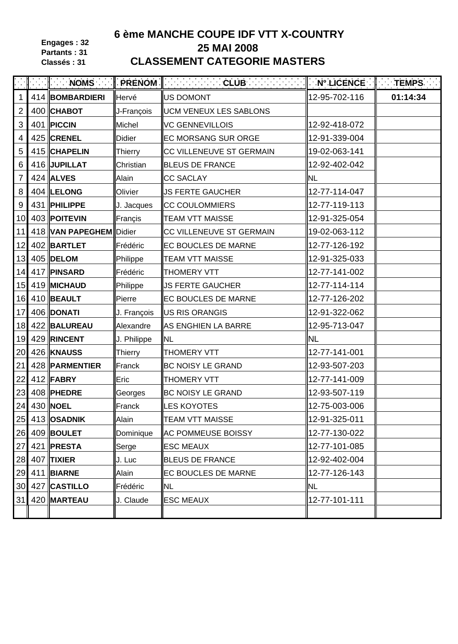**Engages : 32 Partants : 31 Classés : 31**

# **6 ème MANCHE COUPE IDF VTT X-COUNTRY 25 MAI 2008 CLASSEMENT CATEGORIE MASTERS**

|                 | $\parallel$ NOMS        |                | <b>FRENOM Executive CLUB</b>  | $\ $ N° Licence $\ $ Temps $\ $ |          |
|-----------------|-------------------------|----------------|-------------------------------|---------------------------------|----------|
| $\mathbf{1}$    | 414 BOMBARDIERI         | Hervé          | US DOMONT                     | 12-95-702-116                   | 01:14:34 |
| $\overline{2}$  | 400 CHABOT              | J-François     | <b>UCM VENEUX LES SABLONS</b> |                                 |          |
| 3               | 401   PICCIN            | Michel         | <b>VC GENNEVILLOIS</b>        | 12-92-418-072                   |          |
| $\overline{4}$  | 425 CRENEL              | <b>Didier</b>  | <b>EC MORSANG SUR ORGE</b>    | 12-91-339-004                   |          |
| 5               | 415 CHAPELIN            | Thierry        | CC VILLENEUVE ST GERMAIN      | 19-02-063-141                   |          |
| $\,6$           | 416 JUPILLAT            | Christian      | <b>BLEUS DE FRANCE</b>        | 12-92-402-042                   |          |
| $\overline{7}$  | $424$ ALVES             | Alain          | <b>CC SACLAY</b>              | <b>NL</b>                       |          |
| 8               | $404$ LELONG            | Olivier        | <b>JS FERTE GAUCHER</b>       | 12-77-114-047                   |          |
| $\overline{9}$  | 431   PHILIPPE          | J. Jacques     | <b>CC COULOMMIERS</b>         | 12-77-119-113                   |          |
| 10              | 403 POITEVIN            | Françis        | <b>TEAM VTT MAISSE</b>        | 12-91-325-054                   |          |
| 11              | 418 VAN PAPEGHEM Didier |                | CC VILLENEUVE ST GERMAIN      | 19-02-063-112                   |          |
| 12              | 402 BARTLET             | Frédéric       | <b>EC BOUCLES DE MARNE</b>    | 12-77-126-192                   |          |
| 13              | 405 DELOM               | Philippe       | <b>TEAM VTT MAISSE</b>        | 12-91-325-033                   |          |
| 14              | 417 PINSARD             | Frédéric       | <b>THOMERY VTT</b>            | 12-77-141-002                   |          |
| 15              | 419 MICHAUD             | Philippe       | <b>JS FERTE GAUCHER</b>       | 12-77-114-114                   |          |
| 16              | 410 BEAULT              | Pierre         | <b>EC BOUCLES DE MARNE</b>    | 12-77-126-202                   |          |
| 17              | 406 DONATI              | J. François    | US RIS ORANGIS                | 12-91-322-062                   |          |
| 18              | 422 BALUREAU            | Alexandre      | AS ENGHIEN LA BARRE           | 12-95-713-047                   |          |
| 19              | 429 RINCENT             | J. Philippe    | <b>NL</b>                     | <b>NL</b>                       |          |
| 20              | 426 KNAUSS              | <b>Thierry</b> | <b>THOMERY VTT</b>            | 12-77-141-001                   |          |
| 21              | 428   PARMENTIER        | Franck         | <b>BC NOISY LE GRAND</b>      | 12-93-507-203                   |          |
| 22              | $412$ FABRY             | Eric           | <b>THOMERY VTT</b>            | 12-77-141-009                   |          |
| 23              | 408 PHEDRE              | Georges        | <b>BC NOISY LE GRAND</b>      | 12-93-507-119                   |          |
| 24              | 430 NOEL                | Franck         | <b>LES KOYOTES</b>            | 12-75-003-006                   |          |
|                 | 25 413 OSADNIK          | Alain          | <b>TEAM VTT MAISSE</b>        | 12-91-325-011                   |          |
|                 | 26 409 BOULET           | Dominique      | <b>AC POMMEUSE BOISSY</b>     | 12-77-130-022                   |          |
| 27              | 421   PRESTA            | Serge          | <b>ESC MEAUX</b>              | 12-77-101-085                   |          |
|                 | 28 407 TIXIER           | J. Luc         | <b>BLEUS DE FRANCE</b>        | 12-92-402-004                   |          |
| 29              | 411 BIARNE              | Alain          | <b>EC BOUCLES DE MARNE</b>    | 12-77-126-143                   |          |
| 30 <sup>1</sup> | 427 CASTILLO            | Frédéric       | <b>NL</b>                     | <b>NL</b>                       |          |
| 31              | 420 MARTEAU             | J. Claude      | <b>ESC MEAUX</b>              | 12-77-101-111                   |          |
|                 |                         |                |                               |                                 |          |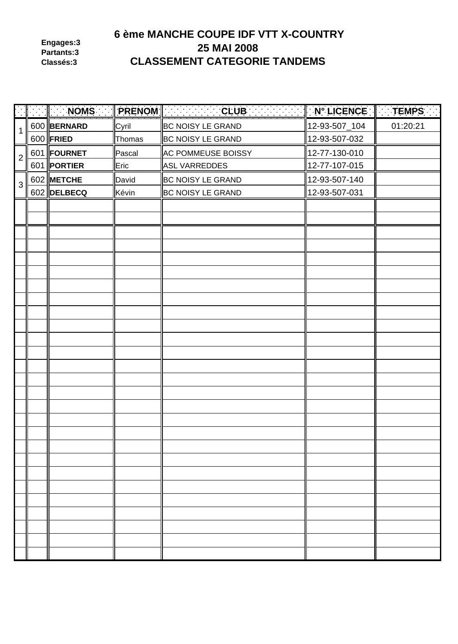**Engages:3 Partants:3 Classés:3**

# **6 ème MANCHE COUPE IDF VTT X-COUNTRY 25 MAI 2008 CLASSEMENT CATEGORIE TANDEMS**

|                |                  |        | NOMS PRENOM CONTROLLER CLUB | $\parallel$ N° LICENCE $\parallel$ TEMPS |          |
|----------------|------------------|--------|-----------------------------|------------------------------------------|----------|
| $\mathbf 1$    | 600 BERNARD      | Cyril  | <b>BC NOISY LE GRAND</b>    | 12-93-507_104                            | 01:20:21 |
|                | 600 <b>FRIED</b> | Thomas | <b>BC NOISY LE GRAND</b>    | 12-93-507-032                            |          |
| $\overline{2}$ | 601 FOURNET      | Pascal | AC POMMEUSE BOISSY          | 12-77-130-010                            |          |
|                | 601   PORTIER    | Eric   | ASL VARREDDES               | 12-77-107-015                            |          |
| 3              | 602 METCHE       | David  | BC NOISY LE GRAND           | 12-93-507-140                            |          |
|                | 602 DELBECQ      | Kévin  | <b>BC NOISY LE GRAND</b>    | 12-93-507-031                            |          |
|                |                  |        |                             |                                          |          |
|                |                  |        |                             |                                          |          |
|                |                  |        |                             |                                          |          |
|                |                  |        |                             |                                          |          |
|                |                  |        |                             |                                          |          |
|                |                  |        |                             |                                          |          |
|                |                  |        |                             |                                          |          |
|                |                  |        |                             |                                          |          |
|                |                  |        |                             |                                          |          |
|                |                  |        |                             |                                          |          |
|                |                  |        |                             |                                          |          |
|                |                  |        |                             |                                          |          |
|                |                  |        |                             |                                          |          |
|                |                  |        |                             |                                          |          |
|                |                  |        |                             |                                          |          |
|                |                  |        |                             |                                          |          |
|                |                  |        |                             |                                          |          |
|                |                  |        |                             |                                          |          |
|                |                  |        |                             |                                          |          |
|                |                  |        |                             |                                          |          |
|                |                  |        |                             |                                          |          |
|                |                  |        |                             |                                          |          |
|                |                  |        |                             |                                          |          |
|                |                  |        |                             |                                          |          |
|                |                  |        |                             |                                          |          |
|                |                  |        |                             |                                          |          |
|                |                  |        |                             |                                          |          |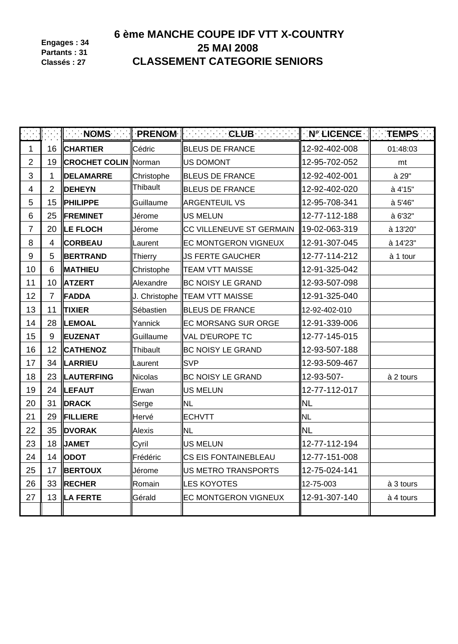**Engages : 34 Partants : 31 Classés : 27**

# **6 ème MANCHE COUPE IDF VTT X-COUNTRY 25 MAI 2008 CLASSEMENT CATEGORIE SENIORS**

|                  |                | <b>NOMS</b>                 |                | $\parallel$ PRENOM $\parallel$ . The CLUB and $\parallel$ | $\parallel$ N° LICENCE $\parallel$ TEMPS |           |
|------------------|----------------|-----------------------------|----------------|-----------------------------------------------------------|------------------------------------------|-----------|
| $\mathbf 1$      | 16             | <b>CHARTIER</b>             | Cédric         | <b>BLEUS DE FRANCE</b>                                    | 12-92-402-008                            | 01:48:03  |
| $\overline{2}$   | 19             | <b>CROCHET COLIN Norman</b> |                | <b>US DOMONT</b>                                          | 12-95-702-052                            | mt        |
| 3                | 1              | <b>DELAMARRE</b>            | Christophe     | <b>BLEUS DE FRANCE</b>                                    | 12-92-402-001                            | à 29"     |
| 4                | $\overline{2}$ | <b>DEHEYN</b>               | Thibault       | <b>BLEUS DE FRANCE</b>                                    | 12-92-402-020                            | à 4'15"   |
| 5                | 15             | <b>PHILIPPE</b>             | Guillaume      | <b>ARGENTEUIL VS</b>                                      | 12-95-708-341                            | à 5'46"   |
| 6                | 25             | <b>FREMINET</b>             | Jérome         | <b>US MELUN</b>                                           | 12-77-112-188                            | à 6'32"   |
| $\overline{7}$   | 20             | <b>LE FLOCH</b>             | Jérome         | CC VILLENEUVE ST GERMAIN                                  | 19-02-063-319                            | à 13'20"  |
| 8                | 4              | <b>CORBEAU</b>              | Laurent        | <b>EC MONTGERON VIGNEUX</b>                               | 12-91-307-045                            | à 14'23"  |
| $\boldsymbol{9}$ | 5              | BERTRAND                    | <b>Thierry</b> | <b>JS FERTE GAUCHER</b>                                   | 12-77-114-212                            | à 1 tour  |
| 10               | 6              | <b>MATHIEU</b>              | Christophe     | <b>TEAM VTT MAISSE</b>                                    | 12-91-325-042                            |           |
| 11               | 10             | <b>ATZERT</b>               | Alexandre      | <b>BC NOISY LE GRAND</b>                                  | 12-93-507-098                            |           |
| 12               | $\overline{7}$ | <b>FADDA</b>                |                | J. Christophe   TEAM VTT MAISSE                           | 12-91-325-040                            |           |
| 13               | 11             | <b>TIXIER</b>               | Sébastien      | <b>BLEUS DE FRANCE</b>                                    | 12-92-402-010                            |           |
| 14               | 28             | LEMOAL                      | Yannick        | <b>EC MORSANG SUR ORGE</b>                                | 12-91-339-006                            |           |
| 15               | 9              | <b>EUZENAT</b>              | Guillaume      | <b>VAL D'EUROPE TC</b>                                    | 12-77-145-015                            |           |
| 16               | 12             | <b>CATHENOZ</b>             | Thibault       | <b>BC NOISY LE GRAND</b>                                  | 12-93-507-188                            |           |
| 17               | 34             | <b>LARRIEU</b>              | Laurent        | <b>SVP</b>                                                | 12-93-509-467                            |           |
| 18               | 23             | <b>LAUTERFING</b>           | <b>Nicolas</b> | <b>BC NOISY LE GRAND</b>                                  | 12-93-507-                               | à 2 tours |
| 19               | 24             | <b>ILEFAUT</b>              | Erwan          | <b>US MELUN</b>                                           | 12-77-112-017                            |           |
| 20               | 31             | <b>DRACK</b>                | Serge          | <b>NL</b>                                                 | <b>NL</b>                                |           |
| 21               | 29             | <b>FILLIERE</b>             | Hervé          | <b>ECHVTT</b>                                             | <b>NL</b>                                |           |
| 22               | 35             | <b>DVORAK</b>               | Alexis         | <b>NL</b>                                                 | <b>NL</b>                                |           |
| 23               | 18             | <b>JAMET</b>                | Cyril          | <b>US MELUN</b>                                           | 12-77-112-194                            |           |
| 24               | 14             | <b>ODOT</b>                 | Frédéric       | <b>CS EIS FONTAINEBLEAU</b>                               | 12-77-151-008                            |           |
| 25               | 17             | <b>BERTOUX</b>              | Jérome         | US METRO TRANSPORTS                                       | 12-75-024-141                            |           |
| 26               | 33             | <b>RECHER</b>               | Romain         | <b>LES KOYOTES</b>                                        | 12-75-003                                | à 3 tours |
| 27               | 13             | <b>LA FERTE</b>             | Gérald         | <b>EC MONTGERON VIGNEUX</b>                               | 12-91-307-140                            | à 4 tours |
|                  |                |                             |                |                                                           |                                          |           |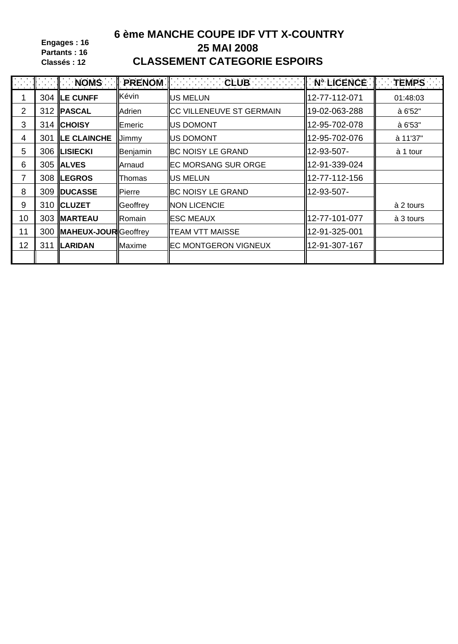**Engages : 16 Partants : 16 Classés : 12**

# **6 ème MANCHE COUPE IDF VTT X-COUNTRY 25 MAI 2008 CLASSEMENT CATEGORIE ESPOIRS**

|    | I NOMS PRENOM            |          |                                  |               | $\parallel$ TEMPS |
|----|--------------------------|----------|----------------------------------|---------------|-------------------|
|    | 304 ILE CUNFF            | Kévin    | <b>IUS MELUN</b>                 | 12-77-112-071 | 01:48:03          |
| 2  | 312   PASCAL             | Adrien   | <b>ICC VILLENEUVE ST GERMAIN</b> | 19-02-063-288 | à 6'52"           |
| 3  | 314 CHOISY               | Emeric   | <b>IUS DOMONT</b>                | 12-95-702-078 | à 6'53"           |
| 4  | <b>301 ILE CLAINCHE</b>  | Jimmy    | <b>IIUS DOMONT</b>               | 12-95-702-076 | à 11'37"          |
| 5  | 306  LISIECKI            | Benjamin | <b>BC NOISY LE GRAND</b>         | 12-93-507-    | à 1 tour          |
| 6  | 305 ALVES                | Arnaud   | <b>IEC MORSANG SUR ORGE</b>      | 12-91-339-024 |                   |
| 7  | 308  LEGROS              | Thomas   | <b>US MELUN</b>                  | 12-77-112-156 |                   |
| 8  | 309   DUCASSE            | Pierre   | <b>BC NOISY LE GRAND</b>         | 12-93-507-    |                   |
| 9  | 310 CLUZET               | Geoffrey | <b>NON LICENCIE</b>              |               | à 2 tours         |
| 10 | 303   MARTEAU            | Romain   | <b>I</b> IESC MEAUX              | 12-77-101-077 | à 3 tours         |
| 11 | 300 MAHEUX-JOUR Geoffrey |          | <b>TEAM VTT MAISSE</b>           | 12-91-325-001 |                   |
| 12 | 311  LARIDAN             | Maxime   | <b>IEC MONTGERON VIGNEUX</b>     | 12-91-307-167 |                   |
|    |                          |          |                                  |               |                   |